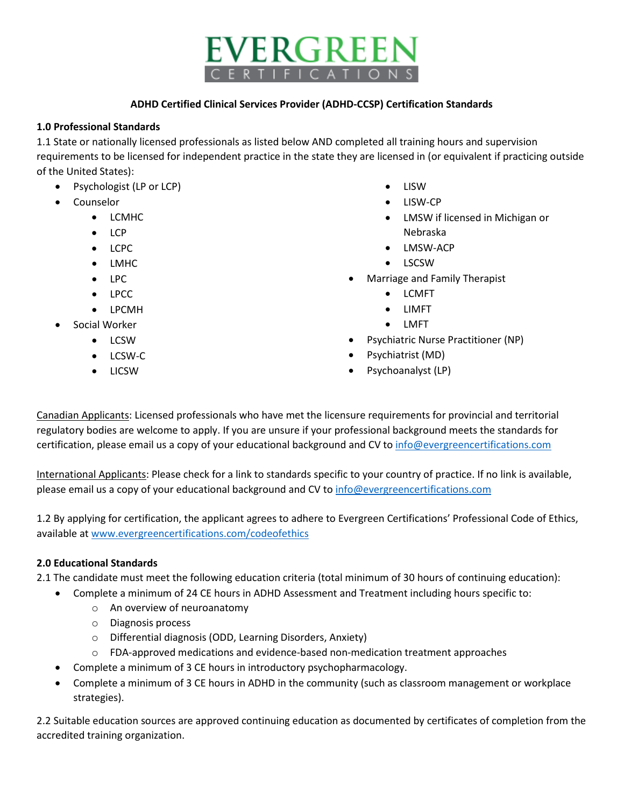# EVERGREEN **RTIFICATION**

#### **ADHD Certified Clinical Services Provider (ADHD-CCSP) Certification Standards**

#### **1.0 Professional Standards**

1.1 State or nationally licensed professionals as listed below AND completed all training hours and supervision requirements to be licensed for independent practice in the state they are licensed in (or equivalent if practicing outside of the United States):

- Psychologist (LP or LCP)
- Counselor
	- LCMHC
	- $\bullet$  LCP
	- LCPC
	- LMHC
	- LPC
	- LPCC
	- LPCMH
- Social Worker
	- LCSW
	- LCSW-C
	- LICSW
- LISW
- LISW-CP
- LMSW if licensed in Michigan or Nebraska
- LMSW-ACP
- LSCSW
- Marriage and Family Therapist
	- LCMFT
	- LIMFT
	- LMFT
- Psychiatric Nurse Practitioner (NP)
- Psychiatrist (MD)
- Psychoanalyst (LP)

Canadian Applicants: Licensed professionals who have met the licensure requirements for provincial and territorial regulatory bodies are welcome to apply. If you are unsure if your professional background meets the standards for certification, please email us a copy of your educational background and CV to [info@evergreencertifications.com](mailto:info@evergreencertifications.com)

International Applicants: Please check for a link to standards specific to your country of practice. If no link is available, please email us a copy of your educational background and CV to [info@evergreencertifications.com](mailto:info@evergreencertifications.com)

1.2 By applying for certification, the applicant agrees to adhere to Evergreen Certifications' Professional Code of Ethics, available a[t www.evergreencertifications.com/codeofethics](http://www.evergreencertifications.com/codeofethics)

## **2.0 Educational Standards**

2.1 The candidate must meet the following education criteria (total minimum of 30 hours of continuing education):

- Complete a minimum of 24 CE hours in ADHD Assessment and Treatment including hours specific to:
	- o An overview of neuroanatomy
	- o Diagnosis process
	- o Differential diagnosis (ODD, Learning Disorders, Anxiety)
	- o FDA-approved medications and evidence-based non-medication treatment approaches
	- Complete a minimum of 3 CE hours in introductory psychopharmacology.
- Complete a minimum of 3 CE hours in ADHD in the community (such as classroom management or workplace strategies).

2.2 Suitable education sources are approved continuing education as documented by certificates of completion from the accredited training organization.